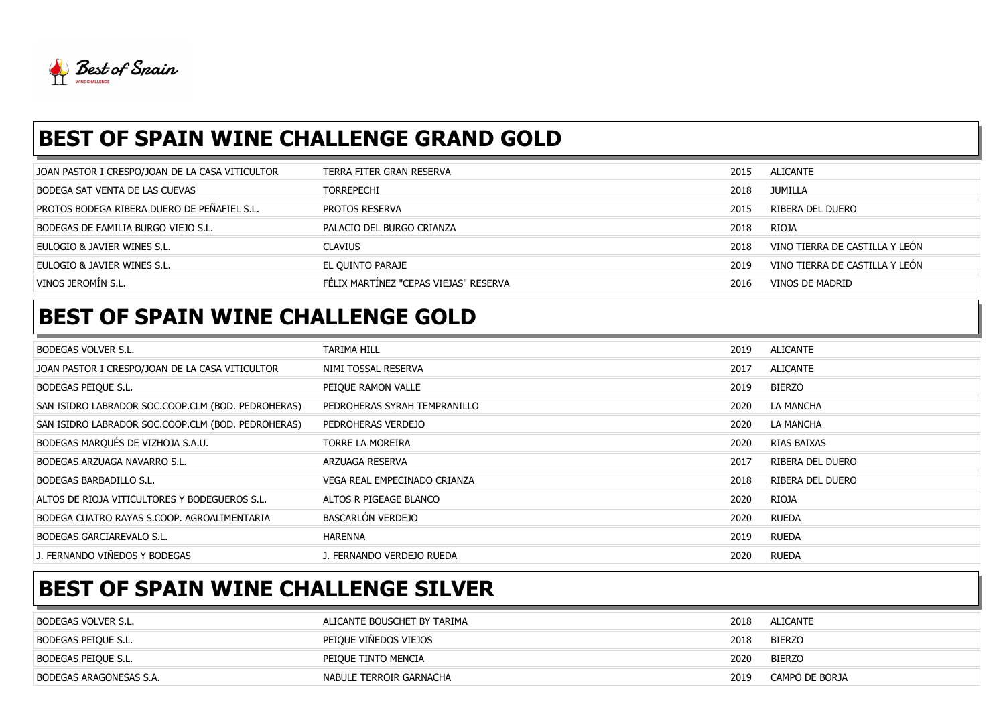

## BEST OF SPAIN WINE CHALLENGE GRAND GOLD

| JOAN PASTOR I CRESPO/JOAN DE LA CASA VITICULTOR    | TERRA FITER GRAN RESERVA              | 2015 | ALICANTE                       |
|----------------------------------------------------|---------------------------------------|------|--------------------------------|
| BODEGA SAT VENTA DE LAS CUEVAS                     | <b>TORREPECHI</b>                     | 2018 | JUMILLA                        |
| <b>PROTOS BODEGA RIBERA DUERO DE PEÑAFIEL S.L.</b> | PROTOS RESERVA                        | 2015 | RIBERA DEL DUERO               |
| BODEGAS DE FAMILIA BURGO VIEJO S.L.                | PALACIO DEL BURGO CRIANZA             | 2018 | RIOJA                          |
| EULOGIO & JAVIER WINES S.L.                        | <b>CLAVIUS</b>                        | 2018 | VINO TIERRA DE CASTILLA Y LEÓN |
| Eulogio & Javier Wines S.L.                        | EL QUINTO PARAJE                      | 2019 | VINO TIERRA DE CASTILLA Y LEÓN |
| VINOS JEROMÍN S.L.                                 | FÉLIX MARTINEZ "CEPAS VIEJAS" RESERVA | 2016 | VINOS DE MADRID                |
|                                                    |                                       |      |                                |

#### BEST OF SPAIN WINE CHALLENGE GOLD

| <b>BODEGAS VOLVER S.L.</b>                         | TARIMA HILL                  | 2019 | ALICANTE         |
|----------------------------------------------------|------------------------------|------|------------------|
| JOAN PASTOR I CRESPO/JOAN DE LA CASA VITICULTOR    | NIMI TOSSAL RESERVA          | 2017 | <b>ALICANTE</b>  |
| BODEGAS PEIQUE S.L.                                | PEIQUE RAMON VALLE           | 2019 | BIERZO           |
| SAN ISIDRO LABRADOR SOC.COOP.CLM (BOD. PEDROHERAS) | PEDROHERAS SYRAH TEMPRANILLO | 2020 | LA MANCHA        |
| SAN ISIDRO LABRADOR SOC.COOP.CLM (BOD. PEDROHERAS) | PEDROHERAS VERDEJO           | 2020 | LA MANCHA        |
| BODEGAS MARQUÉS DE VIZHOJA S.A.U.                  | TORRE LA MOREIRA             | 2020 | RIAS BAIXAS      |
| BODEGAS ARZUAGA NAVARRO S.L.                       | ARZUAGA RESERVA              | 2017 | RIBERA DEL DUERO |
| BODEGAS BARBADILLO S.L.                            | VEGA REAL EMPECINADO CRIANZA | 2018 | RIBERA DEL DUERO |
| ALTOS DE RIOJA VITICULTORES Y BODEGUEROS S.L.      | ALTOS R PIGEAGE BLANCO       | 2020 | RIOJA            |
| BODEGA CUATRO RAYAS S.COOP. AGROALIMENTARIA        | BASCARLÓN VERDEJO            | 2020 | <b>RUEDA</b>     |
| BODEGAS GARCIAREVALO S.L.                          | HARENNA                      | 2019 | <b>RUEDA</b>     |
| J. FERNANDO VIÑEDOS Y BODEGAS                      | J. FERNANDO VERDEJO RUEDA    | 2020 | <b>RUEDA</b>     |

# BEST OF SPAIN WINE CHALLENGE SILVER

| BODEGAS VOLVER S.L.     | ALICANTE BOUSCHET BY TARIMA | 2018 | ALICANTE       |
|-------------------------|-----------------------------|------|----------------|
| BODEGAS PEIQUE S.L.     | PEIQUE VIÑEDOS VIEJOS       | 2018 | <b>BIERZO</b>  |
| BODEGAS PEIQUE S.L.     | PEIQUE TINTO MENCIA         | 2020 | <b>BIERZO</b>  |
| BODEGAS ARAGONESAS S.A. | NABULE TERROIR GARNACHA     | 2019 | CAMPO DE BORJA |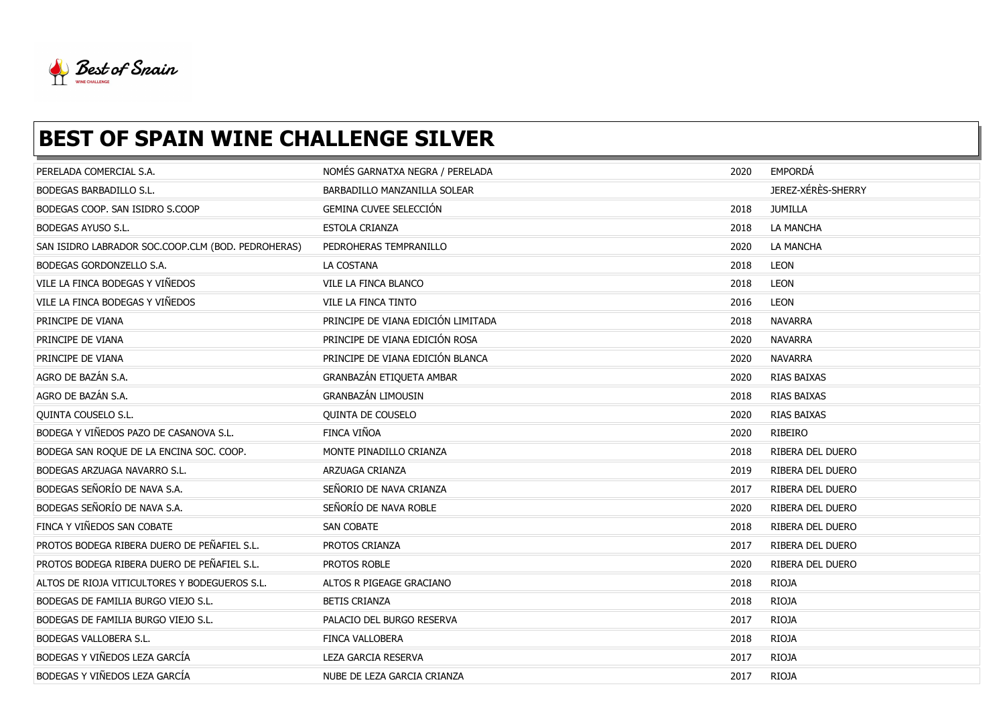

# **BEST OF SPAIN WINE CHALLENGE SILVER**

| PERELADA COMERCIAL S.A.                            | NOMÉS GARNATXA NEGRA / PERELADA    | 2020 | EMPORDÁ            |
|----------------------------------------------------|------------------------------------|------|--------------------|
| <b>BODEGAS BARBADILLO S.L.</b>                     | BARBADILLO MANZANILLA SOLEAR       |      | JEREZ-XÉRÈS-SHERRY |
| BODEGAS COOP. SAN ISIDRO S.COOP                    | GEMINA CUVEE SELECCIÓN             | 2018 | <b>JUMILLA</b>     |
| <b>BODEGAS AYUSO S.L.</b>                          | ESTOLA CRIANZA                     | 2018 | LA MANCHA          |
| SAN ISIDRO LABRADOR SOC.COOP.CLM (BOD. PEDROHERAS) | PEDROHERAS TEMPRANILLO             | 2020 | LA MANCHA          |
| BODEGAS GORDONZELLO S.A.                           | LA COSTANA                         | 2018 | <b>LEON</b>        |
| VILE LA FINCA BODEGAS Y VIÑEDOS                    | VILE LA FINCA BLANCO               | 2018 | LEON               |
| VILE LA FINCA BODEGAS Y VIÑEDOS                    | VILE LA FINCA TINTO                | 2016 | LEON               |
| PRINCIPE DE VIANA                                  | PRINCIPE DE VIANA EDICIÓN LIMITADA | 2018 | <b>NAVARRA</b>     |
| PRINCIPE DE VIANA                                  | PRINCIPE DE VIANA EDICIÓN ROSA     | 2020 | <b>NAVARRA</b>     |
| PRINCIPE DE VIANA                                  | PRINCIPE DE VIANA EDICIÓN BLANCA   | 2020 | <b>NAVARRA</b>     |
| AGRO DE BAZÁN S.A.                                 | GRANBAZÁN ETIQUETA AMBAR           | 2020 | RIAS BAIXAS        |
| AGRO DE BAZÁN S.A.                                 | GRANBAZÁN LIMOUSIN                 | 2018 | RIAS BAIXAS        |
| QUINTA COUSELO S.L.                                | <b>QUINTA DE COUSELO</b>           | 2020 | <b>RIAS BAIXAS</b> |
| BODEGA Y VIÑEDOS PAZO DE CASANOVA S.L.             | FINCA VIÑOA                        | 2020 | RIBEIRO            |
| BODEGA SAN ROQUE DE LA ENCINA SOC. COOP.           | MONTE PINADILLO CRIANZA            | 2018 | RIBERA DEL DUERO   |
| BODEGAS ARZUAGA NAVARRO S.L.                       | ARZUAGA CRIANZA                    | 2019 | RIBERA DEL DUERO   |
| BODEGAS SEÑORÍO DE NAVA S.A.                       | SEÑORIO DE NAVA CRIANZA            | 2017 | RIBERA DEL DUERO   |
| BODEGAS SEÑORÍO DE NAVA S.A.                       | SEÑORÍO DE NAVA ROBLE              | 2020 | RIBERA DEL DUERO   |
| FINCA Y VIÑEDOS SAN COBATE                         | SAN COBATE                         | 2018 | RIBERA DEL DUERO   |
| PROTOS BODEGA RIBERA DUERO DE PEÑAFIEL S.L.        | PROTOS CRIANZA                     | 2017 | RIBERA DEL DUERO   |
| PROTOS BODEGA RIBERA DUERO DE PEÑAFIEL S.L.        | PROTOS ROBLE                       | 2020 | RIBERA DEL DUERO   |
| ALTOS DE RIOJA VITICULTORES Y BODEGUEROS S.L.      | ALTOS R PIGEAGE GRACIANO           | 2018 | <b>RIOJA</b>       |
| BODEGAS DE FAMILIA BURGO VIEJO S.L.                | <b>BETIS CRIANZA</b>               | 2018 | <b>RIOJA</b>       |
| BODEGAS DE FAMILIA BURGO VIEJO S.L.                | PALACIO DEL BURGO RESERVA          | 2017 | <b>RIOJA</b>       |
| BODEGAS VALLOBERA S.L.                             | FINCA VALLOBERA                    | 2018 | <b>RIOJA</b>       |
| BODEGAS Y VIÑEDOS LEZA GARCÍA                      | <b>LEZA GARCIA RESERVA</b>         | 2017 | <b>RIOJA</b>       |
| BODEGAS Y VIÑEDOS LEZA GARCÍA                      | NUBE DE LEZA GARCIA CRIANZA        | 2017 | <b>RIOJA</b>       |